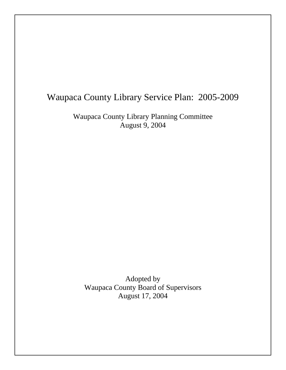# Waupaca County Library Service Plan: 2005-2009

Waupaca County Library Planning Committee August 9, 2004

Adopted by Waupaca County Board of Supervisors August 17, 2004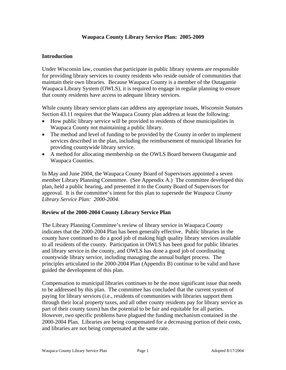# **Waupaca County Library Service Plan: 2005-2009**

## **Introduction**

Under Wisconsin law, counties that participate in public library systems are responsible for providing library services to county residents who reside outside of communities that maintain their own libraries. Because Waupaca County is a member of the Outagamie Waupaca Library System (OWLS), it is required to engage in regular planning to ensure that county residents have access to adequate library services.

While county library service plans can address any appropriate issues, *Wisconsin Statutes* Section 43.11 requires that the Waupaca County plan address at least the following:

- How public library service will be provided to residents of those municipalities in Waupaca County not maintaining a public library.
- The method and level of funding to be provided by the County in order to implement services described in the plan, including the reimbursement of municipal libraries for providing countywide library service.
- A method for allocating membership on the OWLS Board between Outagamie and Waupaca Counties.

In May and June 2004, the Waupaca County Board of Supervisors appointed a seven member Library Planning Committee. (See Appendix A.) The committee developed this plan, held a public hearing, and presented it to the County Board of Supervisors for approval. It is the committee's intent for this plan to supersede the *Waupaca County Library Service Plan: 2000-2004*.

## **Review of the 2000-2004 County Library Service Plan**

The Library Planning Committee's review of library service in Waupaca County indicates that the 2000-2004 Plan has been generally effective. Public libraries in the county have continued to do a good job of making high quality library services available to all residents of the county. Participation in OWLS has been good for public libraries and library service in the county, and OWLS has done a good job of coordinating countywide library service, including managing the annual budget process. The principles articulated in the 2000-2004 Plan (Appendix B) continue to be valid and have guided the development of this plan.

Compensation to municipal libraries continues to be the most significant issue that needs to be addressed by this plan. The committee has concluded that the current system of paying for library services (i.e., residents of communities with libraries support them through their local property taxes, and all other county residents pay for library service as part of their county taxes) has the potential to be fair and equitable for all parties. However, two specific problems have plagued the funding mechanism contained in the 2000-2004 Plan. Libraries are being compensated for a decreasing portion of their costs, and libraries are not being compensated at the same rate.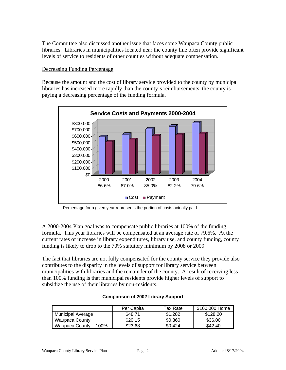The Committee also discussed another issue that faces some Waupaca County public libraries. Libraries in municipalities located near the county line often provide significant levels of service to residents of other counties without adequate compensation.

# Decreasing Funding Percentage

Because the amount and the cost of library service provided to the county by municipal libraries has increased more rapidly than the county's reimbursements, the county is paying a decreasing percentage of the funding formula.



Percentage for a given year represents the portion of costs actually paid.

A 2000-2004 Plan goal was to compensate public libraries at 100% of the funding formula. This year libraries will be compensated at an average rate of 79.6%. At the current rates of increase in library expenditures, library use, and county funding, county funding is likely to drop to the 70% statutory minimum by 2008 or 2009.

The fact that libraries are not fully compensated for the county service they provide also contributes to the disparity in the levels of support for library service between municipalities with libraries and the remainder of the county. A result of receiving less than 100% funding is that municipal residents provide higher levels of support to subsidize the use of their libraries by non-residents.

|                          | Per Capita | Tax Rate | \$100,000 Home |
|--------------------------|------------|----------|----------------|
| <b>Municipal Average</b> | \$48.71    | \$1.282  | \$128.20       |
| Waupaca County           | \$20.15    | \$0.360  | \$36.00        |
| Waupaca County - 100%    | \$23.68    | \$0.424  | \$42.40        |

## **Comparison of 2002 Library Support**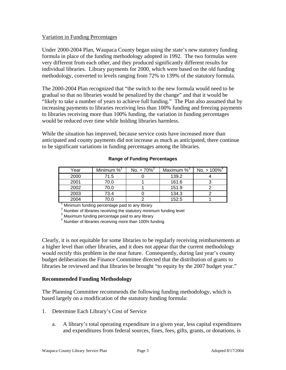# Variation in Funding Percentages

Under 2000-2004 Plan, Waupaca County began using the state's new statutory funding formula in place of the funding methodology adopted in 1992. The two formulas were very different from each other, and they produced significantly different results for individual libraries. Library payments for 2000, which were based on the old funding methodology, converted to levels ranging from 72% to 139% of the statutory formula.

The 2000-2004 Plan recognized that "the switch to the new formula would need to be gradual so that no libraries would be penalized by the change" and that it would be "likely to take a number of years to achieve full funding." The Plan also assumed that by increasing payments to libraries receiving less than 100% funding and freezing payments to libraries receiving more than 100% funding, the variation in funding percentages would be reduced over time while holding libraries harmless.

While the situation has improved, because service costs have increased more than anticipated and county payments did not increase as much as anticipated, there continue to be significant variations in funding percentages among the libraries.

| Year | Minimum % | No. $= 70\%^{2}$ | Maximum $\%^3$ | No. $> 100\%$ <sup>4</sup> |
|------|-----------|------------------|----------------|----------------------------|
| 2000 | 71.5      |                  | 139.2          |                            |
| 2001 | 70.0      |                  | 161.6          |                            |
| 2002 | 70.0      |                  | 151.9          |                            |
| 2003 | 73.4      |                  | 134.3          |                            |
| 2004 | 70.0      |                  | 152.5          |                            |

#### **Range of Funding Percentages**

 $\overline{1}$  $1$  Minimum funding percentage paid to any library

<sup>2</sup> Number of libraries receiving the statutory minimum funding level

<sup>3</sup> Maximum funding percentage paid to any library

<sup>4</sup> Number of libraries receiving more than 100% funding

Clearly, it is not equitable for some libraries to be regularly receiving reimbursements at a higher level than other libraries, and it does not appear that the current methodology would rectify this problem in the near future. Consequently, during last year's county budget deliberations the Finance Committee directed that the distribution of grants to libraries be reviewed and that libraries be brought "to equity by the 2007 budget year."

## **Recommended Funding Methodology**

The Planning Committee recommends the following funding methodology, which is based largely on a modification of the statutory funding formula:

- 1. Determine Each Library's Cost of Service
	- a. A library's total operating expenditure in a given year, less capital expenditures and expenditures from federal sources, fines, fees, gifts, grants, or donations, is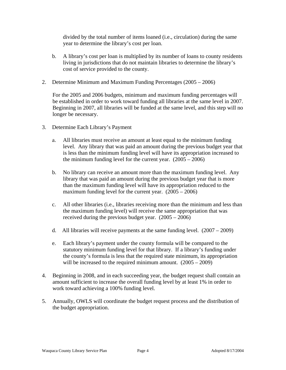divided by the total number of items loaned (i.e., circulation) during the same year to determine the library's cost per loan.

- b. A library's cost per loan is multiplied by its number of loans to county residents living in jurisdictions that do not maintain libraries to determine the library's cost of service provided to the county.
- 2. Determine Minimum and Maximum Funding Percentages (2005 2006)

For the 2005 and 2006 budgets, minimum and maximum funding percentages will be established in order to work toward funding all libraries at the same level in 2007. Beginning in 2007, all libraries will be funded at the same level, and this step will no longer be necessary.

- 3. Determine Each Library's Payment
	- a. All libraries must receive an amount at least equal to the minimum funding level. Any library that was paid an amount during the previous budget year that is less than the minimum funding level will have its appropriation increased to the minimum funding level for the current year.  $(2005 - 2006)$
	- b. No library can receive an amount more than the maximum funding level. Any library that was paid an amount during the previous budget year that is more than the maximum funding level will have its appropriation reduced to the maximum funding level for the current year.  $(2005 - 2006)$
	- c. All other libraries (i.e., libraries receiving more than the minimum and less than the maximum funding level) will receive the same appropriation that was received during the previous budget year. (2005 – 2006)
	- d. All libraries will receive payments at the same funding level.  $(2007 2009)$
	- e. Each library's payment under the county formula will be compared to the statutory minimum funding level for that library. If a library's funding under the county's formula is less that the required state minimum, its appropriation will be increased to the required minimum amount.  $(2005 - 2009)$
- 4. Beginning in 2008, and in each succeeding year, the budget request shall contain an amount sufficient to increase the overall funding level by at least 1% in order to work toward achieving a 100% funding level.
- 5. Annually, OWLS will coordinate the budget request process and the distribution of the budget appropriation.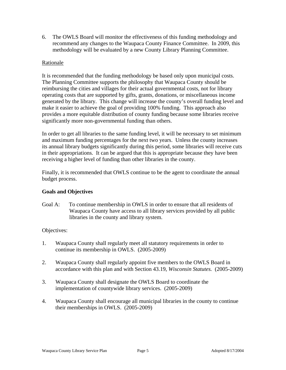6. The OWLS Board will monitor the effectiveness of this funding methodology and recommend any changes to the Waupaca County Finance Committee. In 2009, this methodology will be evaluated by a new County Library Planning Committee.

# Rationale

It is recommended that the funding methodology be based only upon municipal costs. The Planning Committee supports the philosophy that Waupaca County should be reimbursing the cities and villages for their actual governmental costs, not for library operating costs that are supported by gifts, grants, donations, or miscellaneous income generated by the library. This change will increase the county's overall funding level and make it easier to achieve the goal of providing 100% funding. This approach also provides a more equitable distribution of county funding because some libraries receive significantly more non-governmental funding than others.

In order to get all libraries to the same funding level, it will be necessary to set minimum and maximum funding percentages for the next two years. Unless the county increases its annual library budgets significantly during this period, some libraries will receive cuts in their appropriations. It can be argued that this is appropriate because they have been receiving a higher level of funding than other libraries in the county.

Finally, it is recommended that OWLS continue to be the agent to coordinate the annual budget process.

# **Goals and Objectives**

Goal A: To continue membership in OWLS in order to ensure that all residents of Waupaca County have access to all library services provided by all public libraries in the county and library system.

## Objectives:

- 1. Waupaca County shall regularly meet all statutory requirements in order to continue its membership in OWLS. (2005-2009)
- 2. Waupaca County shall regularly appoint five members to the OWLS Board in accordance with this plan and with Section 43.19, *Wisconsin Statutes.* (2005-2009)
- 3. Waupaca County shall designate the OWLS Board to coordinate the implementation of countywide library services. (2005-2009)
- 4. Waupaca County shall encourage all municipal libraries in the county to continue their memberships in OWLS. (2005-2009)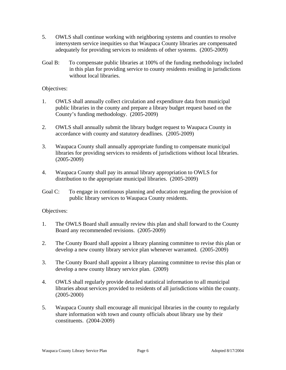- 5. OWLS shall continue working with neighboring systems and counties to resolve intersystem service inequities so that Waupaca County libraries are compensated adequately for providing services to residents of other systems. (2005-2009)
- Goal B: To compensate public libraries at 100% of the funding methodology included in this plan for providing service to county residents residing in jurisdictions without local libraries.

## Objectives:

- 1. OWLS shall annually collect circulation and expenditure data from municipal public libraries in the county and prepare a library budget request based on the County's funding methodology. (2005-2009)
- 2. OWLS shall annually submit the library budget request to Waupaca County in accordance with county and statutory deadlines. (2005-2009)
- 3. Waupaca County shall annually appropriate funding to compensate municipal libraries for providing services to residents of jurisdictions without local libraries. (2005-2009)
- 4. Waupaca County shall pay its annual library appropriation to OWLS for distribution to the appropriate municipal libraries. (2005-2009)
- Goal C: To engage in continuous planning and education regarding the provision of public library services to Waupaca County residents.

## Objectives:

- 1. The OWLS Board shall annually review this plan and shall forward to the County Board any recommended revisions. (2005-2009)
- 2. The County Board shall appoint a library planning committee to revise this plan or develop a new county library service plan whenever warranted. (2005-2009)
- 3. The County Board shall appoint a library planning committee to revise this plan or develop a new county library service plan. (2009)
- 4. OWLS shall regularly provide detailed statistical information to all municipal libraries about services provided to residents of all jurisdictions within the county. (2005-2000)
- 5. Waupaca County shall encourage all municipal libraries in the county to regularly share information with town and county officials about library use by their constituents. (2004-2009)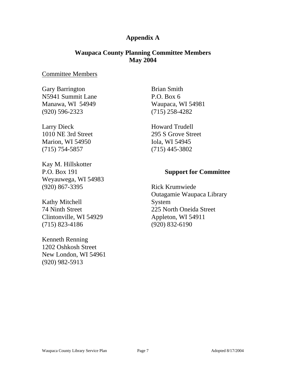# **Appendix A**

# **Waupaca County Planning Committee Members May 2004**

# Committee Members

Gary Barrington N5941 Summit Lane Manawa, WI 54949 (920) 596-2323

Larry Dieck 1010 NE 3rd Street Marion, WI 54950 (715) 754-5857

Kay M. Hillskotter P.O. Box 191 Weyauwega, WI 54983 (920) 867-3395

Kathy Mitchell 74 Ninth Street Clintonville, WI 54929 (715) 823-4186

Kenneth Renning 1202 Oshkosh Street New London, WI 54961 (920) 982-5913

Brian Smith P.O. Box 6 Waupaca, WI 54981 (715) 258-4282

Howard Trudell 295 S Grove Street Iola, WI 54945 (715) 445-3802

# **Support for Committee**

Rick Krumwiede Outagamie Waupaca Library System 225 North Oneida Street Appleton, WI 54911 (920) 832-6190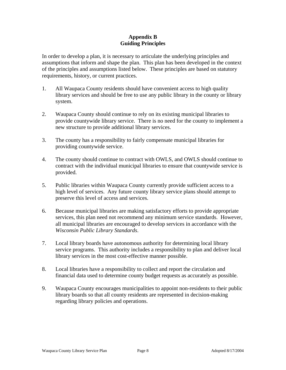# **Appendix B Guiding Principles**

In order to develop a plan, it is necessary to articulate the underlying principles and assumptions that inform and shape the plan. This plan has been developed in the context of the principles and assumptions listed below. These principles are based on statutory requirements, history, or current practices.

- 1. All Waupaca County residents should have convenient access to high quality library services and should be free to use any public library in the county or library system.
- 2. Waupaca County should continue to rely on its existing municipal libraries to provide countywide library service. There is no need for the county to implement a new structure to provide additional library services.
- 3. The county has a responsibility to fairly compensate municipal libraries for providing countywide service.
- 4. The county should continue to contract with OWLS, and OWLS should continue to contract with the individual municipal libraries to ensure that countywide service is provided.
- 5. Public libraries within Waupaca County currently provide sufficient access to a high level of services. Any future county library service plans should attempt to preserve this level of access and services.
- 6. Because municipal libraries are making satisfactory efforts to provide appropriate services, this plan need not recommend any minimum service standards. However, all municipal libraries are encouraged to develop services in accordance with the *Wisconsin Public Library Standards*.
- 7. Local library boards have autonomous authority for determining local library service programs. This authority includes a responsibility to plan and deliver local library services in the most cost-effective manner possible.
- 8. Local libraries have a responsibility to collect and report the circulation and financial data used to determine county budget requests as accurately as possible.
- 9. Waupaca County encourages municipalities to appoint non-residents to their public library boards so that all county residents are represented in decision-making regarding library policies and operations.